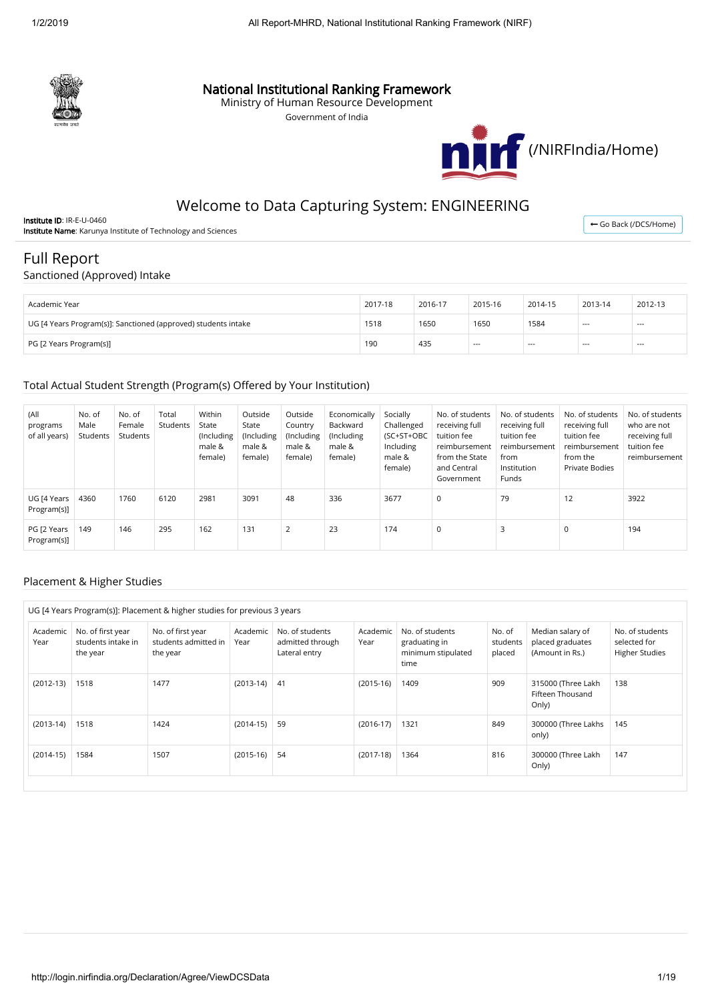

## National Institutional Ranking Framework

Ministry of Human Resource Development

Government of India



# Welcome to Data Capturing System: ENGINEERING

Institute ID: IR-E-U-0460 **Institute Name:** Karunya Institute of Technology and Sciences

← [Go Back \(/DCS/Home\)](http://login.nirfindia.org/DCS/Home)

# Full Report

### Sanctioned (Approved) Intake

| Academic Year                                                  | 2017-18 | 2016-17 | 2015-16 | 2014-15 | 2013-14        | 2012-13        |
|----------------------------------------------------------------|---------|---------|---------|---------|----------------|----------------|
| UG [4 Years Program(s)]: Sanctioned (approved) students intake | 1518    | 1650    | 1650    | 1584    | $- - -$<br>--- | $- - -$<br>--- |
| PG [2 Years Program(s)]                                        | 190     | 435     | $- - -$ | $---$   | $- - -$        | $- - -$        |

#### Total Actual Student Strength (Program(s) Offered by Your Institution)

| (All<br>programs<br>of all years) | No. of<br>Male<br>Students | No. of<br>Female<br>Students | Total<br>Students | Within<br>State<br>(Including<br>male &<br>female) | Outside<br>State<br>(Including<br>male &<br>female) | Outside<br>Country<br>(Including<br>male &<br>female) | Economically<br>Backward<br>(Including)<br>male &<br>female) | Socially<br>Challenged<br>(SC+ST+OBC<br>Including<br>male &<br>female) | No. of students<br>receiving full<br>tuition fee<br>reimbursement<br>from the State<br>and Central<br>Government | No. of students<br>receiving full<br>tuition fee<br>reimbursement<br>from<br>Institution<br>Funds | No. of students<br>receiving full<br>tuition fee<br>reimbursement<br>from the<br>Private Bodies | No. of students<br>who are not<br>receiving full<br>tuition fee<br>reimbursement |
|-----------------------------------|----------------------------|------------------------------|-------------------|----------------------------------------------------|-----------------------------------------------------|-------------------------------------------------------|--------------------------------------------------------------|------------------------------------------------------------------------|------------------------------------------------------------------------------------------------------------------|---------------------------------------------------------------------------------------------------|-------------------------------------------------------------------------------------------------|----------------------------------------------------------------------------------|
| UG [4 Years<br>Program(s)]        | 4360                       | 1760                         | 6120              | 2981                                               | 3091                                                | 48                                                    | 336                                                          | 3677                                                                   | $\mathbf 0$                                                                                                      | 79                                                                                                | 12                                                                                              | 3922                                                                             |
| PG [2 Years<br>Program(s)]        | 149                        | 146                          | 295               | 162                                                | 131                                                 |                                                       | 23                                                           | 174                                                                    | $\mathbf 0$                                                                                                      |                                                                                                   | 0                                                                                               | 194                                                                              |

### Placement & Higher Studies

| UG [4 Years Program(s)]: Placement & higher studies for previous 3 years |                                                     |                                                       |                  |                                                      |                  |                                                                |                              |                                                         |                                                          |
|--------------------------------------------------------------------------|-----------------------------------------------------|-------------------------------------------------------|------------------|------------------------------------------------------|------------------|----------------------------------------------------------------|------------------------------|---------------------------------------------------------|----------------------------------------------------------|
| Academic<br>Year                                                         | No. of first year<br>students intake in<br>the year | No. of first year<br>students admitted in<br>the year | Academic<br>Year | No. of students<br>admitted through<br>Lateral entry | Academic<br>Year | No. of students<br>graduating in<br>minimum stipulated<br>time | No. of<br>students<br>placed | Median salary of<br>placed graduates<br>(Amount in Rs.) | No. of students<br>selected for<br><b>Higher Studies</b> |
| $(2012-13)$                                                              | 1518                                                | 1477                                                  | $(2013-14)$      | 41                                                   | $(2015-16)$      | 1409                                                           | 909                          | 315000 (Three Lakh<br>Fifteen Thousand<br>Only)         | 138                                                      |
| $(2013-14)$                                                              | 1518                                                | 1424                                                  | $(2014-15)$      | 59                                                   | $(2016-17)$      | 1321                                                           | 849                          | 300000 (Three Lakhs<br>only)                            | 145                                                      |
| $(2014-15)$                                                              | 1584                                                | 1507                                                  | $(2015-16)$      | 54                                                   | $(2017-18)$      | 1364                                                           | 816                          | 300000 (Three Lakh<br>Only)                             | 147                                                      |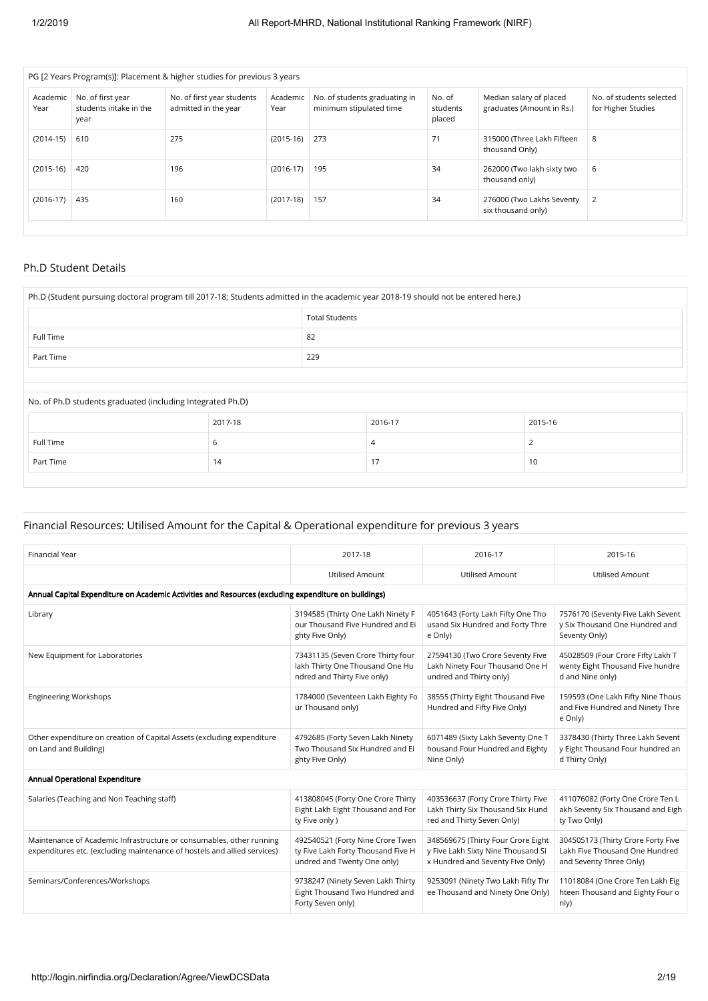| PG [2 Years Program(s)]: Placement & higher studies for previous 3 years |                                                     |                                                    |                  |                                                          |                              |                                                      |                                                |
|--------------------------------------------------------------------------|-----------------------------------------------------|----------------------------------------------------|------------------|----------------------------------------------------------|------------------------------|------------------------------------------------------|------------------------------------------------|
| Academic<br>Year                                                         | No. of first year<br>students intake in the<br>year | No. of first year students<br>admitted in the year | Academic<br>Year | No. of students graduating in<br>minimum stipulated time | No. of<br>students<br>placed | Median salary of placed<br>graduates (Amount in Rs.) | No. of students selected<br>for Higher Studies |
| $(2014-15)$                                                              | 610                                                 | 275                                                | $(2015-16)$      | 273                                                      | 71                           | 315000 (Three Lakh Fifteen<br>thousand Only)         | 8                                              |
| $(2015-16)$                                                              | 420                                                 | 196                                                | $(2016-17)$      | 195                                                      | 34                           | 262000 (Two lakh sixty two<br>thousand only)         | 6                                              |
| $(2016-17)$                                                              | 435                                                 | 160                                                | $(2017-18)$      | 157                                                      | 34                           | 276000 (Two Lakhs Seventy<br>six thousand only)      | 2                                              |
|                                                                          |                                                     |                                                    |                  |                                                          |                              |                                                      |                                                |

## Ph.D Student Details

| Ph.D (Student pursuing doctoral program till 2017-18; Students admitted in the academic year 2018-19 should not be entered here.) |         |                       |                |         |  |  |  |
|-----------------------------------------------------------------------------------------------------------------------------------|---------|-----------------------|----------------|---------|--|--|--|
|                                                                                                                                   |         | <b>Total Students</b> |                |         |  |  |  |
| Full Time                                                                                                                         |         | 82                    |                |         |  |  |  |
| Part Time                                                                                                                         |         | 229                   |                |         |  |  |  |
|                                                                                                                                   |         |                       |                |         |  |  |  |
| No. of Ph.D students graduated (including Integrated Ph.D)                                                                        |         |                       |                |         |  |  |  |
|                                                                                                                                   | 2017-18 |                       | 2016-17        | 2015-16 |  |  |  |
| Full Time                                                                                                                         | 6       |                       | $\overline{4}$ | 2       |  |  |  |
| Part Time                                                                                                                         | 14      |                       | 17             | 10      |  |  |  |
|                                                                                                                                   |         |                       |                |         |  |  |  |

### Financial Resources: Utilised Amount for the Capital & Operational expenditure for previous 3 years

| <b>Financial Year</b>                                                                                                                            | 2017-18                                                                                               | 2016-17                                                                                                      | 2015-16                                                                                         |
|--------------------------------------------------------------------------------------------------------------------------------------------------|-------------------------------------------------------------------------------------------------------|--------------------------------------------------------------------------------------------------------------|-------------------------------------------------------------------------------------------------|
|                                                                                                                                                  | <b>Utilised Amount</b>                                                                                | <b>Utilised Amount</b>                                                                                       | <b>Utilised Amount</b>                                                                          |
| Annual Capital Expenditure on Academic Activities and Resources (excluding expenditure on buildings)                                             |                                                                                                       |                                                                                                              |                                                                                                 |
| Library                                                                                                                                          | 3194585 (Thirty One Lakh Ninety F<br>our Thousand Five Hundred and Ei<br>ghty Five Only)              | 4051643 (Forty Lakh Fifty One Tho<br>usand Six Hundred and Forty Thre<br>e Only)                             | 7576170 (Seventy Five Lakh Sevent<br>y Six Thousand One Hundred and<br>Seventy Only)            |
| New Equipment for Laboratories                                                                                                                   | 73431135 (Seven Crore Thirty four<br>lakh Thirty One Thousand One Hu<br>ndred and Thirty Five only)   | 27594130 (Two Crore Seventy Five<br>Lakh Ninety Four Thousand One H<br>undred and Thirty only)               | 45028509 (Four Crore Fifty Lakh T<br>wenty Eight Thousand Five hundre<br>d and Nine only)       |
| <b>Engineering Workshops</b>                                                                                                                     | 1784000 (Seventeen Lakh Eighty Fo<br>ur Thousand only)                                                | 38555 (Thirty Eight Thousand Five<br>Hundred and Fifty Five Only)                                            | 159593 (One Lakh Fifty Nine Thous<br>and Five Hundred and Ninety Thre<br>e Only)                |
| Other expenditure on creation of Capital Assets (excluding expenditure<br>on Land and Building)                                                  | 4792685 (Forty Seven Lakh Ninety<br>Two Thousand Six Hundred and Ei<br>ghty Five Only)                | 6071489 (Sixty Lakh Seventy One T<br>housand Four Hundred and Eighty<br>Nine Only)                           | 3378430 (Thirty Three Lakh Sevent<br>y Eight Thousand Four hundred an<br>d Thirty Only)         |
| Annual Operational Expenditure                                                                                                                   |                                                                                                       |                                                                                                              |                                                                                                 |
| Salaries (Teaching and Non Teaching staff)                                                                                                       | 413808045 (Forty One Crore Thirty<br>Eight Lakh Eight Thousand and For<br>ty Five only )              | 403536637 (Forty Crore Thirty Five<br>Lakh Thirty Six Thousand Six Hund<br>red and Thirty Seven Only)        | 411076082 (Forty One Crore Ten L<br>akh Seventy Six Thousand and Eigh<br>ty Two Only)           |
| Maintenance of Academic Infrastructure or consumables, other running<br>expenditures etc. (excluding maintenance of hostels and allied services) | 492540521 (Forty Nine Crore Twen<br>ty Five Lakh Forty Thousand Five H<br>undred and Twenty One only) | 348569675 (Thirty Four Crore Eight<br>y Five Lakh Sixty Nine Thousand Si<br>x Hundred and Seventy Five Only) | 304505173 (Thirty Crore Forty Five<br>Lakh Five Thousand One Hundred<br>and Seventy Three Only) |
| Seminars/Conferences/Workshops                                                                                                                   | 9738247 (Ninety Seven Lakh Thirty<br>Eight Thousand Two Hundred and<br>Forty Seven only)              | 9253091 (Ninety Two Lakh Fifty Thr<br>ee Thousand and Ninety One Only)                                       | 11018084 (One Crore Ten Lakh Eig<br>hteen Thousand and Eighty Four o<br>n(y)                    |